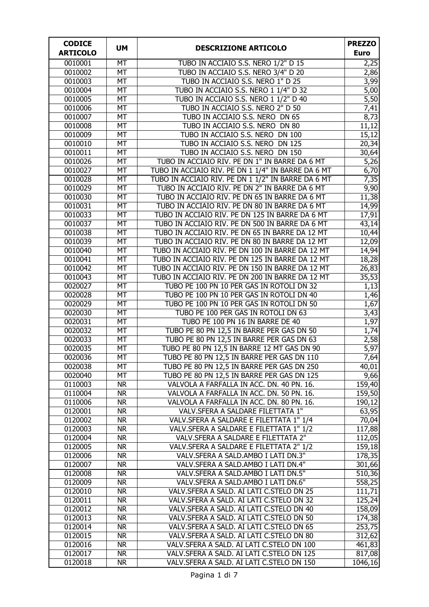| <b>CODICE</b>      | <b>UM</b>                    | <b>DESCRIZIONE ARTICOLO</b>                                                            | <b>PREZZO</b>       |
|--------------------|------------------------------|----------------------------------------------------------------------------------------|---------------------|
| <b>ARTICOLO</b>    |                              |                                                                                        | <b>Euro</b>         |
| 0010001            | <b>MT</b>                    | TUBO IN ACCIAIO S.S. NERO 1/2" D 15                                                    | 2,25                |
| 0010002            | <b>MT</b>                    | TUBO IN ACCIAIO S.S. NERO 3/4" D 20                                                    | 2,86                |
| 0010003            | <b>MT</b>                    | TUBO IN ACCIAIO S.S. NERO 1" D 25                                                      | 3,99                |
| 0010004            | MT                           | TUBO IN ACCIAIO S.S. NERO 1 1/4" D 32                                                  | 5,00                |
| 0010005            | <b>MT</b>                    | TUBO IN ACCIAIO S.S. NERO 1 1/2" D 40                                                  | 5,50                |
| 0010006            | <b>MT</b>                    | TUBO IN ACCIAIO S.S. NERO 2" D 50                                                      | 7,41                |
| 0010007            | <b>MT</b>                    | TUBO IN ACCIAIO S.S. NERO DN 65                                                        | 8,73                |
| 0010008            | <b>MT</b>                    | TUBO IN ACCIAIO S.S. NERO DN 80                                                        | 11,12               |
| 0010009            | <b>MT</b>                    | TUBO IN ACCIAIO S.S. NERO DN 100                                                       | 15,12               |
| 0010010            | <b>MT</b>                    | TUBO IN ACCIAIO S.S. NERO DN 125                                                       | 20,34               |
| 0010011            | <b>MT</b>                    | TUBO IN ACCIAIO S.S. NERO DN 150                                                       | 30,64               |
| 0010026            | <b>MT</b>                    | TUBO IN ACCIAIO RIV. PE DN 1" IN BARRE DA 6 MT                                         | $\overline{5,}26$   |
| 0010027            | <b>MT</b>                    | TUBO IN ACCIAIO RIV. PE DN 1 1/4" IN BARRE DA 6 MT                                     | 6,70                |
| 0010028            | MT                           | TUBO IN ACCIAIO RIV. PE DN 1 1/2" IN BARRE DA 6 MT                                     | 7,35                |
| 0010029            | MT                           | TUBO IN ACCIAIO RIV. PE DN 2" IN BARRE DA 6 MT                                         | 9,90                |
| 0010030            | MT                           | TUBO IN ACCIAIO RIV. PE DN 65 IN BARRE DA 6 MT                                         | 11,38               |
| 0010031            | <b>MT</b>                    | TUBO IN ACCIAIO RIV. PE DN 80 IN BARRE DA 6 MT                                         | 14,99               |
| 0010033            | $\overline{MT}$              | TUBO IN ACCIAIO RIV. PE DN 125 IN BARRE DA 6 MT                                        | 17,91               |
| 0010037            | <b>MT</b>                    | TUBO IN ACCIAIO RIV. PE DN 500 IN BARRE DA 6 MT                                        | 43,14               |
| 0010038            | <b>MT</b>                    | TUBO IN ACCIAIO RIV. PE DN 65 IN BARRE DA 12 MT                                        | 10,44               |
| 0010039            | <b>MT</b>                    | TUBO IN ACCIAIO RIV. PE DN 80 IN BARRE DA 12 MT                                        | 12,09               |
| 0010040            | <b>MT</b>                    | TUBO IN ACCIAIO RIV. PE DN 100 IN BARRE DA 12 MT                                       | 14,94               |
| 0010041            | <b>MT</b>                    | TUBO IN ACCIAIO RIV. PE DN 125 IN BARRE DA 12 MT                                       | 18,28               |
| 0010042            | MT                           | TUBO IN ACCIAIO RIV. PE DN 150 IN BARRE DA 12 MT                                       | 26,83               |
| 0010043            | <b>MT</b><br>$\overline{MT}$ | TUBO IN ACCIAIO RIV. PE DN 200 IN BARRE DA 12 MT                                       | 35,53               |
| 0020027<br>0020028 | <b>MT</b>                    | TUBO PE 100 PN 10 PER GAS IN ROTOLI DN 32<br>TUBO PE 100 PN 10 PER GAS IN ROTOLI DN 40 | 1,13                |
| 0020029            | <b>MT</b>                    | TUBO PE 100 PN 10 PER GAS IN ROTOLI DN 50                                              | 1,46<br>1,67        |
| 0020030            | <b>MT</b>                    | TUBO PE 100 PER GAS IN ROTOLI DN 63                                                    | 3,43                |
| 0020031            | <b>MT</b>                    | TUBO PE 100 PN 16 IN BARRE DE 40                                                       | 1,97                |
| 0020032            | MT                           | TUBO PE 80 PN 12,5 IN BARRE PER GAS DN 50                                              | 1,74                |
| 0020033            | MT                           | TUBO PE 80 PN 12,5 IN BARRE PER GAS DN 63                                              | 2,58                |
| 0020035            | <b>MT</b>                    | TUBO PE 80 PN 12,5 IN BARRE 12 MT GAS DN 90                                            | $\overline{5,97}$   |
| 0020036            | MT                           | TUBO PE 80 PN 12,5 IN BARRE PER GAS DN 110                                             | 7,64                |
| 0020038            | МT                           | TUBO PE 80 PN 12,5 IN BARRE PER GAS DN 250                                             | 40,01               |
| 0020040            | <b>MT</b>                    | TUBO PE 80 PN 12,5 IN BARRE PER GAS DN 125                                             | 9,66                |
| 0110003            | <b>NR</b>                    | VALVOLA A FARFALLA IN ACC. DN. 40 PN. 16.                                              | 159,40              |
| 0110004            | <b>NR</b>                    | VALVOLA A FARFALLA IN ACC. DN. 50 PN. 16.                                              | $\overline{159,50}$ |
| 0110006            | <b>NR</b>                    | VALVOLA A FARFALLA IN ACC. DN. 80 PN. 16.                                              | 190,12              |
| 0120001            | <b>NR</b>                    | VALV.SFERA A SALDARE FILETTATA 1"                                                      | 63,95               |
| 0120002            | <b>NR</b>                    | VALV.SFERA A SALDARE E FILETTATA 1" 1/4                                                | 70,04               |
| 0120003            | <b>NR</b>                    | VALV.SFERA A SALDARE E FILETTATA 1" 1/2                                                | 117,88              |
| 0120004            | <b>NR</b>                    | VALV.SFERA A SALDARE E FILETTATA 2"                                                    | 112,05              |
| 0120005            | <b>NR</b>                    | VALV.SFERA A SALDARE E FILETTATA 2" 1/2                                                | 159,18              |
| 0120006            | <b>NR</b>                    | VALV.SFERA A SALD.AMBO I LATI DN.3"                                                    | 178,35              |
| 0120007            | <b>NR</b>                    | VALV.SFERA A SALD.AMBO I LATI DN.4"                                                    | 301,66              |
| 0120008            | <b>NR</b>                    | VALV.SFERA A SALD.AMBO I LATI DN.5"                                                    | 510,36              |
| 0120009            | <b>NR</b>                    | VALV.SFERA A SALD.AMBO I LATI DN.6"                                                    | 558,25              |
| 0120010            | <b>NR</b>                    | VALV.SFERA A SALD. AI LATI C.STELO DN 25                                               | 111,71              |
| 0120011            | <b>NR</b>                    | VALV.SFERA A SALD. AI LATI C.STELO DN 32                                               | 125,24              |
| 0120012            | <b>NR</b>                    | VALV.SFERA A SALD. AI LATI C.STELO DN 40                                               | 158,09              |
| 0120013            | <b>NR</b>                    | VALV.SFERA A SALD. AI LATI C.STELO DN 50                                               | 174,38              |
| 0120014            | <b>NR</b>                    | VALV.SFERA A SALD. AI LATI C.STELO DN 65                                               | 253,75              |
| 0120015            | <b>NR</b>                    | VALV.SFERA A SALD. AI LATI C.STELO DN 80                                               | 312,62              |
| 0120016            | <b>NR</b>                    | VALV.SFERA A SALD. AI LATI C.STELO DN 100                                              | 461,83              |
| 0120017            | <b>NR</b>                    | VALV.SFERA A SALD. AI LATI C.STELO DN 125                                              | 817,08              |
| 0120018            | <b>NR</b>                    | VALV.SFERA A SALD. AI LATI C.STELO DN 150                                              | 1046, 16            |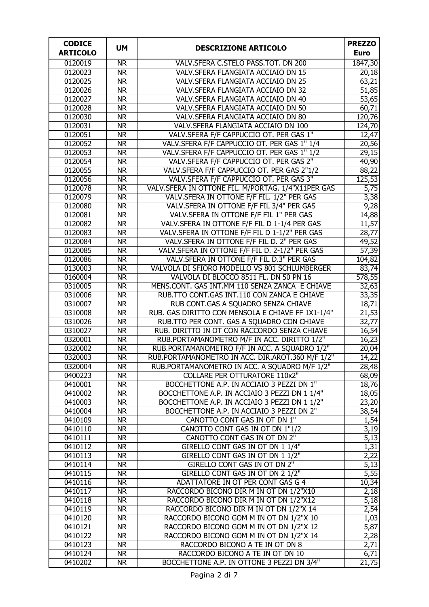| <b>CODICE</b>      |                        |                                                                                                 | <b>PREZZO</b>               |
|--------------------|------------------------|-------------------------------------------------------------------------------------------------|-----------------------------|
| <b>ARTICOLO</b>    | <b>UM</b>              | <b>DESCRIZIONE ARTICOLO</b>                                                                     | <b>Euro</b>                 |
| 0120019            | <b>NR</b>              | VALV.SFERA C.STELO PASS.TOT. DN 200                                                             | 1847,30                     |
| 0120023            | <b>NR</b>              | VALV.SFERA FLANGIATA ACCIAIO DN 15                                                              | 20,18                       |
| 0120025            | <b>NR</b>              | VALV.SFERA FLANGIATA ACCIAIO DN 25                                                              | 63,21                       |
| 0120026            | <b>NR</b>              | VALV.SFERA FLANGIATA ACCIAIO DN 32                                                              | 51,85                       |
| 0120027            | <b>NR</b>              | VALV.SFERA FLANGIATA ACCIAIO DN 40                                                              | $\overline{53,65}$          |
| 0120028            | <b>NR</b>              | VALV.SFERA FLANGIATA ACCIAIO DN 50                                                              | 60,71                       |
| 0120030            | <b>NR</b>              | VALV.SFERA FLANGIATA ACCIAIO DN 80                                                              | 120,76                      |
| 0120031            | <b>NR</b>              | VALV.SFERA FLANGIATA ACCIAIO DN 100                                                             | 124,70                      |
| 0120051            | <b>NR</b>              | VALV.SFERA F/F CAPPUCCIO OT. PER GAS 1"                                                         | 12,47                       |
| 0120052            | <b>NR</b>              | VALV.SFERA F/F CAPPUCCIO OT. PER GAS 1" 1/4                                                     | 20,56                       |
| 0120053            | <b>NR</b>              | VALV.SFERA F/F CAPPUCCIO OT. PER GAS 1" 1/2                                                     | 29,15                       |
| 0120054            | <b>NR</b>              | VALV.SFERA F/F CAPPUCCIO OT. PER GAS 2"                                                         | 40,90                       |
| 0120055            | <b>NR</b>              | VALV.SFERA F/F CAPPUCCIO OT. PER GAS 2"1/2                                                      | 88,22                       |
| 0120056            | <b>NR</b>              | VALV.SFERA F/F CAPPUCCIO OT. PER GAS 3"                                                         | 125,53                      |
| 0120078            | <b>NR</b>              | VALV.SFERA IN OTTONE FIL. M/PORTAG. 1/4"X11PER GAS                                              | $\overline{5,75}$           |
| 0120079            | <b>NR</b>              | VALV.SFERA IN OTTONE F/F FIL. 1/2" PER GAS                                                      | 3,38                        |
| 0120080            | <b>NR</b>              | VALV. SFERA IN OTTONE F/F FIL 3/4" PER GAS                                                      | 9,28                        |
| 0120081            | <b>NR</b>              | VALV. SFERA IN OTTONE F/F FIL 1" PER GAS                                                        | 14,88                       |
| 0120082            | <b>NR</b>              | VALV.SFERA IN OTTONE F/F FIL D 1-1/4 PER GAS                                                    | 11,57                       |
| 0120083            | <b>NR</b>              | VALV.SFERA IN OTTONE F/F FIL D 1-1/2" PER GAS                                                   | 28,77                       |
| 0120084            | $\overline{\text{NR}}$ | VALV.SFERA IN OTTONE F/F FIL D. 2" PER GAS                                                      | 49,52                       |
| 0120085            | <b>NR</b>              | VALV.SFERA IN OTTONE F/F FIL D. 2-1/2" PER GAS                                                  | 57,39                       |
| 0120086            | <b>NR</b>              | VALV.SFERA IN OTTONE F/F FIL D.3" PER GAS                                                       | 104,82                      |
| 0130003            | <b>NR</b>              | VALVOLA DI SFIORO MODELLO VS 801 SCHLUMBERGER                                                   | 83,74                       |
| 0160004            | <b>NR</b>              | VALVOLA DI BLOCCO 8511 FL. DN 50 PN 16                                                          | 578,55                      |
| 0310005            | <b>NR</b>              | MENS.CONT. GAS INT.MM 110 SENZA ZANCA E CHIAVE                                                  | 32,63                       |
| 0310006            | <b>NR</b>              | RUB.TTO CONT.GAS INT.110 CON ZANCA E CHIAVE                                                     | 33,35                       |
| 0310007            | <b>NR</b>              | RUB CONT.GAS A SQUADRO SENZA CHIAVE                                                             | 18,71                       |
| 0310008<br>0310026 | <b>NR</b>              | RUB. GAS DIRITTO CON MENSOLA E CHIAVE FF 1X1-1/4"<br>RUB.TTO PER CONT. GAS A SQUADRO CON CHIAVE | $\overline{21,53}$<br>32,77 |
| 0310027            | <b>NR</b><br><b>NR</b> | RUB. DIRITTO IN OT CON RACCORDO SENZA CHIAVE                                                    |                             |
| 0320001            | <b>NR</b>              | RUB.PORTAMANOMETRO M/F IN ACC. DIRITTO 1/2"                                                     | 16,54<br>16,23              |
| 0320002            | <b>NR</b>              | RUB.PORTAMANOMETRO F/F IN ACC. A SQUADRO 1/2"                                                   | 20,04                       |
| 0320003            | <b>NR</b>              | RUB.PORTAMANOMETRO IN ACC. DIR.AROT.360 M/F 1/2"                                                | 14,22                       |
| 0320004            | <b>NR</b>              | RUB.PORTAMANOMETRO IN ACC. A SQUADRO M/F 1/2"                                                   | 28,48                       |
| 0400223            | <b>NR</b>              | <b>COLLARE PER OTTURATORE 110x2"</b>                                                            | 68,09                       |
| 0410001            | <b>NR</b>              | BOCCHETTONE A.P. IN ACCIAIO 3 PEZZI DN 1"                                                       | 18,76                       |
| 0410002            | <b>NR</b>              | BOCCHETTONE A.P. IN ACCIAIO 3 PEZZI DN 1 1/4"                                                   | 18,05                       |
| 0410003            | <b>NR</b>              | BOCCHETTONE A.P. IN ACCIAIO 3 PEZZI DN 1 1/2"                                                   | 23,20                       |
| 0410004            | <b>NR</b>              | BOCCHETTONE A.P. IN ACCIAIO 3 PEZZI DN 2"                                                       | 38,54                       |
| 0410109            | <b>NR</b>              | CANOTTO CONT GAS IN OT DN 1"                                                                    | 1,54                        |
| 0410110            | <b>NR</b>              | CANOTTO CONT GAS IN OT DN 1"1/2                                                                 | 3,19                        |
| 0410111            | <b>NR</b>              | CANOTTO CONT GAS IN OT DN 2"                                                                    | 5,13                        |
| 0410112            | <b>NR</b>              | GIRELLO CONT GAS IN OT DN 1 1/4"                                                                | 1,31                        |
| 0410113            | <b>NR</b>              | GIRELLO CONT GAS IN OT DN 1 1/2"                                                                | 2,22                        |
| 0410114            | <b>NR</b>              | GIRELLO CONT GAS IN OT DN 2"                                                                    | 5,13                        |
| 0410115            | <b>NR</b>              | GIRELLO CONT GAS IN OT DN 2 1/2"                                                                | 5,55                        |
| 0410116            | <b>NR</b>              | ADATTATORE IN OT PER CONT GAS G 4                                                               | 10,34                       |
| 0410117            | <b>NR</b>              | RACCORDO BICONO DIR M IN OT DN 1/2"X10                                                          | 2,18                        |
| 0410118            | <b>NR</b>              | RACCORDO BICONO DIR M IN OT DN 1/2"X12                                                          | 5,18                        |
| 0410119            | <b>NR</b>              | RACCORDO BICONO DIR M IN OT DN 1/2"X 14                                                         | 2,54                        |
| 0410120            | <b>NR</b>              | RACCORDO BICONO GOM M IN OT DN 1/2"X 10                                                         | 1,03                        |
| 0410121            | <b>NR</b>              | RACCORDO BICONO GOM M IN OT DN 1/2"X 12                                                         | 5,87                        |
| 0410122            | <b>NR</b>              | RACCORDO BICONO GOM M IN OT DN 1/2"X 14                                                         | 2,28                        |
| 0410123            | <b>NR</b>              | RACCORDO BICONO A TE IN OT DN 8                                                                 | 2,71                        |
| 0410124            | <b>NR</b>              | RACCORDO BICONO A TE IN OT DN 10                                                                | 6,71                        |
| 0410202            | <b>NR</b>              | BOCCHETTONE A.P. IN OTTONE 3 PEZZI DN 3/4"                                                      | 21,75                       |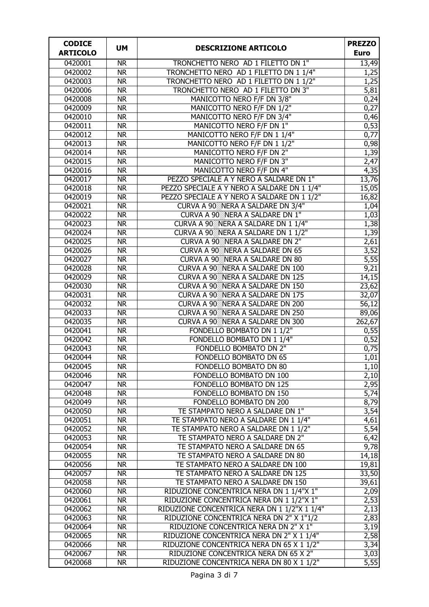| <b>CODICE</b>   | <b>UM</b>                | <b>DESCRIZIONE ARTICOLO</b>                       | <b>PREZZO</b>     |
|-----------------|--------------------------|---------------------------------------------------|-------------------|
| <b>ARTICOLO</b> |                          |                                                   | <b>Euro</b>       |
| 0420001         | <b>NR</b>                | TRONCHETTO NERO AD 1 FILETTO DN 1"                | 13,49             |
| 0420002         | <b>NR</b>                | TRONCHETTO NERO AD 1 FILETTO DN 1 1/4"            | 1,25              |
| 0420003         | <b>NR</b>                | TRONCHETTO NERO AD 1 FILETTO DN 1 1/2"            | 1,25              |
| 0420006         | <b>NR</b>                | TRONCHETTO NERO AD 1 FILETTO DN 3"                | 5,81              |
| 0420008         | <b>NR</b>                | MANICOTTO NERO F/F DN 3/8"                        | 0,24              |
| 0420009         | <b>NR</b>                | MANICOTTO NERO F/F DN 1/2"                        | 0,27              |
| 0420010         | <b>NR</b>                | MANICOTTO NERO F/F DN 3/4"                        | 0,46              |
| 0420011         | <b>NR</b>                | MANICOTTO NERO F/F DN 1"                          | 0,53              |
| 0420012         | <b>NR</b>                | MANICOTTO NERO F/F DN 1 1/4"                      | $\overline{0,77}$ |
| 0420013         | <b>NR</b>                | MANICOTTO NERO F/F DN 1 1/2"                      | 0,98              |
| 0420014         | <b>NR</b>                | MANICOTTO NERO F/F DN 2"                          | 1,39              |
| 0420015         | <b>NR</b>                | MANICOTTO NERO F/F DN 3"                          | 2,47              |
| 0420016         | <b>NR</b>                | MANICOTTO NERO F/F DN 4"                          | 4,35              |
| 0420017         | <b>NR</b>                | PEZZO SPECIALE A Y NERO A SALDARE DN 1"           | 13,76             |
| 0420018         | <b>NR</b>                | PEZZO SPECIALE A Y NERO A SALDARE DN 1 1/4"       | 15,05             |
| 0420019         | <b>NR</b>                | PEZZO SPECIALE A Y NERO A SALDARE DN 1 1/2"       | 16,82             |
| 0420021         | <b>NR</b>                | CURVA A 90 <sup>88</sup> NERA A SALDARE DN 3/4"   | 1,04              |
| 0420022         | <b>NR</b>                | CURVA A 90 NERA A SALDARE DN 1"                   | 1,03              |
| 0420023         | <b>NR</b>                | CURVA A 90 <sup>22</sup> NERA A SALDARE DN 1 1/4" | 1,38              |
| 0420024         | <b>NR</b>                | CURVA A 90 NERA A SALDARE DN 1 1/2"               | 1,39              |
| 0420025         | <b>NR</b>                | <b>CURVA A 90 NERA A SALDARE DN 2"</b>            | 2,61              |
| 0420026         | $\overline{\text{NR}}$   | <b>CURVA A 90 NERA A SALDARE DN 65</b>            | 3,52              |
| 0420027         | <b>NR</b>                | <b>CURVA A 90 NERA A SALDARE DN 80</b>            | 5,55              |
| 0420028         | <b>NR</b>                | CURVA A 90 <sup>88</sup> NERA A SALDARE DN 100    | 9,21              |
| 0420029         | <b>NR</b>                | CURVA A 90 <sup>88</sup> NERA A SALDARE DN 125    | 14,15             |
| 0420030         | $\overline{\textsf{NR}}$ | <b>CURVA A 90 NERA A SALDARE DN 150</b>           | 23,62             |
| 0420031         | <b>NR</b>                | CURVA A 90 <sup>88</sup> NERA A SALDARE DN 175    | 32,07             |
| 0420032         | $\overline{\textsf{NR}}$ | <b>CURVA A 90 NERA A SALDARE DN 200</b>           | 56,12             |
| 0420033         | $\overline{\text{NR}}$   | CURVA A 90 <sup>22</sup> NERA A SALDARE DN 250    | 89,06             |
| 0420035         | $\overline{\text{NR}}$   | CURVA A 90 NERA A SALDARE DN 300                  | 262,67            |
| 0420041         | $\overline{\text{NR}}$   | FONDELLO BOMBATO DN 1 1/2"                        | 0,55              |
| 0420042         | $\overline{\text{NR}}$   | FONDELLO BOMBATO DN 1 1/4"                        | 0,52              |
| 0420043         | $\overline{\text{NR}}$   | <b>FONDELLO BOMBATO DN 2"</b>                     | 0,75              |
| 0420044         | $\overline{\mathsf{NR}}$ | FONDELLO BOMBATO DN 65                            | 1,01              |
| 0420045         | NR                       | FONDELLO BOMBATO DN 80                            | 1,10              |
| 0420046         | <b>NR</b>                | FONDELLO BOMBATO DN 100                           | 2,10              |
| 0420047         | <b>NR</b>                | <b>FONDELLO BOMBATO DN 125</b>                    | 2,95              |
| 0420048         | <b>NR</b>                | FONDELLO BOMBATO DN 150                           | 5,74              |
| 0420049         | <b>NR</b>                | FONDELLO BOMBATO DN 200                           | 8,79              |
| 0420050         | <b>NR</b>                | TE STAMPATO NERO A SALDARE DN 1"                  | 3,54              |
| 0420051         | <b>NR</b>                | TE STAMPATO NERO A SALDARE DN 1 1/4"              | 4,61              |
| 0420052         | <b>NR</b>                | TE STAMPATO NERO A SALDARE DN 1 1/2"              | 5,54              |
| 0420053         | <b>NR</b>                | TE STAMPATO NERO A SALDARE DN 2"                  | 6,42              |
| 0420054         | <b>NR</b>                | TE STAMPATO NERO A SALDARE DN 65                  | 9,78              |
| 0420055         | <b>NR</b>                | TE STAMPATO NERO A SALDARE DN 80                  | 14,18             |
| 0420056         | <b>NR</b>                | TE STAMPATO NERO A SALDARE DN 100                 | 19,81             |
| 0420057         | <b>NR</b>                | TE STAMPATO NERO A SALDARE DN 125                 | 33,50             |
| 0420058         | <b>NR</b>                | TE STAMPATO NERO A SALDARE DN 150                 | 39,61             |
| 0420060         | <b>NR</b>                | RIDUZIONE CONCENTRICA NERA DN 1 1/4"X 1"          | 2,09              |
| 0420061         | <b>NR</b>                | RIDUZIONE CONCENTRICA NERA DN 1 1/2"X 1"          | 2,53              |
| 0420062         | <b>NR</b>                | RIDUZIONE CONCENTRICA NERA DN 1 1/2"X 1 1/4"      | 2,13              |
| 0420063         | <b>NR</b>                | RIDUZIONE CONCENTRICA NERA DN 2" X 1"1/2          | 2,83              |
| 0420064         | <b>NR</b>                | RIDUZIONE CONCENTRICA NERA DN 2" X 1"             | 3,19              |
| 0420065         | <b>NR</b>                | RIDUZIONE CONCENTRICA NERA DN 2" X 1 1/4"         | 2,58              |
| 0420066         | <b>NR</b>                | RIDUZIONE CONCENTRICA NERA DN 65 X 1 1/2"         | 3,34              |
| 0420067         | <b>NR</b>                | RIDUZIONE CONCENTRICA NERA DN 65 X 2"             | 3,03              |
| 0420068         | <b>NR</b>                | RIDUZIONE CONCENTRICA NERA DN 80 X 1 1/2"         | 5,55              |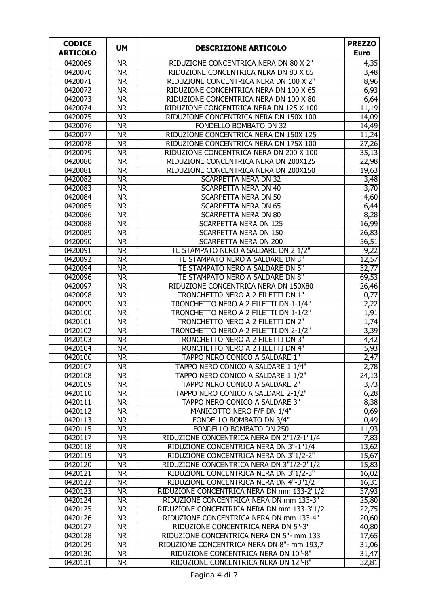| <b>CODICE</b>      |                        |                                                                            | <b>PREZZO</b>             |
|--------------------|------------------------|----------------------------------------------------------------------------|---------------------------|
| <b>ARTICOLO</b>    | <b>UM</b>              | <b>DESCRIZIONE ARTICOLO</b>                                                | <b>Euro</b>               |
| 0420069            | <b>NR</b>              | RIDUZIONE CONCENTRICA NERA DN 80 X 2"                                      | 4,35                      |
| 0420070            | <b>NR</b>              | RIDUZIONE CONCENTRICA NERA DN 80 X 65                                      | 3,48                      |
| 0420071            | <b>NR</b>              | RIDUZIONE CONCENTRICA NERA DN 100 X 2"                                     | 8,96                      |
| 0420072            | <b>NR</b>              | RIDUZIONE CONCENTRICA NERA DN 100 X 65                                     | 6,93                      |
| 0420073            | <b>NR</b>              | RIDUZIONE CONCENTRICA NERA DN 100 X 80                                     | 6,64                      |
| 0420074            | <b>NR</b>              | RIDUZIONE CONCENTRICA NERA DN 125 X 100                                    | 11,19                     |
| 0420075            | <b>NR</b>              | RIDUZIONE CONCENTRICA NERA DN 150X 100                                     | 14,09                     |
| 0420076            | <b>NR</b>              | FONDELLO BOMBATO DN 32                                                     | 14,49                     |
| 0420077            | <b>NR</b>              | RIDUZIONE CONCENTRICA NERA DN 150X 125                                     | 11,24                     |
| 0420078            | <b>NR</b>              | RIDUZIONE CONCENTRICA NERA DN 175X 100                                     | 27,26                     |
| 0420079            | <b>NR</b>              | RIDUZIONE CONCENTRICA NERA DN 200 X 100                                    | 35,13                     |
| 0420080            | <b>NR</b>              | RIDUZIONE CONCENTRICA NERA DN 200X125                                      | 22,98                     |
| 0420081            | <b>NR</b>              | RIDUZIONE CONCENTRICA NERA DN 200X150                                      | 19,63                     |
| 0420082            | <b>NR</b>              | <b>SCARPETTA NERA DN 32</b>                                                | 3,48                      |
| 0420083            | <b>NR</b>              | <b>SCARPETTA NERA DN 40</b>                                                | 3,70                      |
| 0420084            | <b>NR</b>              | <b>SCARPETTA NERA DN 50</b>                                                | 4,60                      |
| 0420085            | <b>NR</b>              | <b>SCARPETTA NERA DN 65</b>                                                | 6,44                      |
| 0420086            | <b>NR</b>              | <b>SCARPETTA NERA DN 80</b>                                                | 8,28                      |
| 0420088            | <b>NR</b>              | <b>SCARPETTA NERA DN 125</b>                                               | 16,99                     |
| 0420089            | <b>NR</b>              | <b>SCARPETTA NERA DN 150</b>                                               | 26,83                     |
| 0420090            | <b>NR</b>              | <b>SCARPETTA NERA DN 200</b>                                               | 56,51                     |
| 0420091            | <b>NR</b>              | TE STAMPATO NERO A SALDARE DN 2 1/2"                                       | $\overline{9,22}$         |
| 0420092            | <b>NR</b>              | TE STAMPATO NERO A SALDARE DN 3"                                           | 12,57                     |
| 0420094            | <b>NR</b>              | TE STAMPATO NERO A SALDARE DN 5"                                           | 32,77                     |
| 0420096            | <b>NR</b>              | TE STAMPATO NERO A SALDARE DN 8"                                           | 69,53                     |
| 0420097            | <b>NR</b>              | RIDUZIONE CONCENTRICA NERA DN 150X80                                       | 26,46                     |
| 0420098<br>0420099 | <b>NR</b><br><b>NR</b> | TRONCHETTO NERO A 2 FILETTI DN 1"<br>TRONCHETTO NERO A 2 FILETTI DN 1-1/4" | $\overline{0,77}$<br>2,22 |
| 0420100            | <b>NR</b>              | TRONCHETTO NERO A 2 FILETTI DN 1-1/2"                                      | 1,91                      |
| 0420101            | <b>NR</b>              | TRONCHETTO NERO A 2 FILETTI DN 2"                                          | 1,74                      |
| 0420102            | <b>NR</b>              | TRONCHETTO NERO A 2 FILETTI DN 2-1/2"                                      | $\overline{3,39}$         |
| 0420103            | <b>NR</b>              | TRONCHETTO NERO A 2 FILETTI DN 3"                                          | 4,42                      |
| 0420104            | <b>NR</b>              | TRONCHETTO NERO A 2 FILETTI DN 4"                                          | $\overline{5,93}$         |
| 0420106            | <b>NR</b>              | TAPPO NERO CONICO A SALDARE 1"                                             | 2,47                      |
| 0420107            | <b>NR</b>              | TAPPO NERO CONICO A SALDARE 1 1/4"                                         | 2,78                      |
| 0420108            | <b>NR</b>              | TAPPO NERO CONICO A SALDARE 1 1/2"                                         | 24,13                     |
| 0420109            | <b>NR</b>              | TAPPO NERO CONICO A SALDARE 2"                                             | 3,73                      |
| 0420110            | <b>NR</b>              | TAPPO NERO CONICO A SALDARE 2-1/2"                                         | 6,28                      |
| 0420111            | <b>NR</b>              | TAPPO NERO CONICO A SALDARE 3"                                             | 8,38                      |
| 0420112            | <b>NR</b>              | MANICOTTO NERO F/F DN 1/4"                                                 | 0,69                      |
| 0420113            | <b>NR</b>              | FONDELLO BOMBATO DN 3/4"                                                   | 0,49                      |
| 0420115            | <b>NR</b>              | FONDELLO BOMBATO DN 250                                                    | 11,93                     |
| 0420117            | <b>NR</b>              | RIDUZIONE CONCENTRICA NERA DN 2"1/2-1"1/4                                  | 7,83                      |
| 0420118            | <b>NR</b>              | RIDUZIONE CONCENTRICA NERA DN 3"-1"1/4                                     | 13,62                     |
| 0420119            | <b>NR</b>              | RIDUZIONE CONCENTRICA NERA DN 3"1/2-2"                                     | 15,67                     |
| 0420120            | <b>NR</b>              | RIDUZIONE CONCENTRICA NERA DN 3"1/2-2"1/2                                  | 15,83                     |
| 0420121            | <b>NR</b>              | RIDUZIONE CONCENTRICA NERA DN 3"1/2-3"                                     | 16,02                     |
| 0420122            | <b>NR</b>              | RIDUZIONE CONCENTRICA NERA DN 4"-3"1/2                                     | 16,31                     |
| 0420123            | <b>NR</b>              | RIDUZIONE CONCENTRICA NERA DN mm 133-2"1/2                                 | 37,93                     |
| 0420124            | <b>NR</b>              | RIDUZIONE CONCENTRICA NERA DN mm 133-3"                                    | 25,80                     |
| 0420125            | <b>NR</b>              | RIDUZIONE CONCENTRICA NERA DN mm 133-3"1/2                                 | 22,75                     |
| 0420126            | <b>NR</b>              | RIDUZIONE CONCENTRICA NERA DN mm 133-4"                                    | 20,60                     |
| 0420127            | <b>NR</b>              | RIDUZIONE CONCENTRICA NERA DN 5"-3"                                        | 40,80                     |
| 0420128            | <b>NR</b>              | RIDUZIONE CONCENTRICA NERA DN 5"- mm 133                                   | 17,65                     |
| 0420129            | <b>NR</b>              | RIDUZIONE CONCENTRICA NERA DN 8"- mm 193,7                                 | 31,06                     |
| 0420130            | <b>NR</b>              | RIDUZIONE CONCENTRICA NERA DN 10"-8"                                       | 31,47                     |
| 0420131            | <b>NR</b>              | RIDUZIONE CONCENTRICA NERA DN 12"-8"                                       | 32,81                     |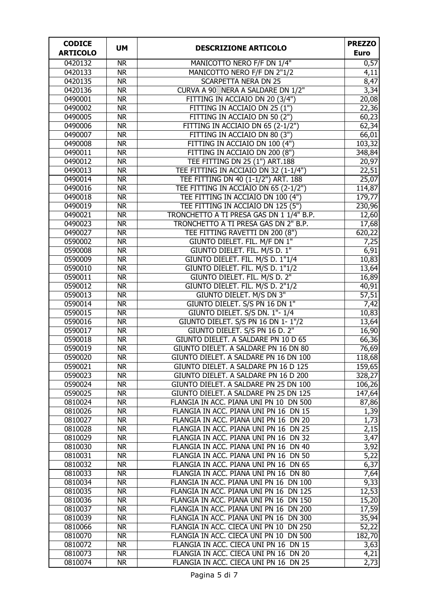| <b>CODICE</b>      | <b>UM</b>                           | <b>DESCRIZIONE ARTICOLO</b>                                       | <b>PREZZO</b>      |
|--------------------|-------------------------------------|-------------------------------------------------------------------|--------------------|
| <b>ARTICOLO</b>    |                                     |                                                                   | <b>Euro</b>        |
| 0420132            | $\overline{\mathsf{NR}}$            | MANICOTTO NERO F/F DN 1/4"                                        | 0,57               |
| 0420133            | <b>NR</b>                           | MANICOTTO NERO F/F DN 2"1/2                                       | 4,11               |
| 0420135            | <b>NR</b>                           | <b>SCARPETTA NERA DN 25</b>                                       | 8,47               |
| 0420136            | <b>NR</b>                           | CURVA A 90 <sup>88</sup> NERA A SALDARE DN 1/2"                   | 3,34               |
| 0490001            | <b>NR</b>                           | FITTING IN ACCIAIO DN 20 (3/4")                                   | 20,08              |
| 0490002            | <b>NR</b>                           | FITTING IN ACCIAIO DN 25 (1")                                     | $\overline{22,36}$ |
| 0490005            | <b>NR</b>                           | FITTING IN ACCIAIO DN 50 (2")                                     | 60,23              |
| 0490006            | <b>NR</b>                           | FITTING IN ACCIAIO DN 65 (2-1/2")                                 | 62,34              |
| 0490007            | <b>NR</b>                           | FITTING IN ACCIAIO DN 80 (3")                                     | 66,01              |
| 0490008            | <b>NR</b>                           | FITTING IN ACCIAIO DN 100 (4")                                    | 103,32             |
| 0490011            | <b>NR</b>                           | FITTING IN ACCIAIO DN 200 (8")                                    | 348,84             |
| 0490012            | <b>NR</b>                           | TEE FITTING DN 25 (1") ART.188                                    | 20,97              |
| 0490013            | <b>NR</b>                           | TEE FITTING IN ACCIAIO DN 32 (1-1/4")                             | 22,51              |
| 0490014            | <b>NR</b>                           | TEE FITTING DN 40 (1-1/2") ART. 188                               | 25,07              |
| 0490016            | <b>NR</b>                           | TEE FITTING IN ACCIAIO DN 65 (2-1/2")                             | 114,87             |
| 0490018            | <b>NR</b>                           | TEE FITTING IN ACCIAIO DN 100 (4")                                | 179,77             |
| 0490019            | <b>NR</b>                           | TEE FITTING IN ACCIAIO DN 125 (5")                                | 230,96             |
| 0490021            | $\overline{\text{NR}}$              | TRONCHETTO A TI PRESA GAS DN 1 1/4" B.P.                          | 12,60              |
| 0490023            | $\overline{\text{NR}}$              | TRONCHETTO A TI PRESA GAS DN 2" B.P.                              | 17,68              |
| 0490027            | <b>NR</b>                           | TEE FITTING RAVETTI DN 200 (8")                                   | 620,22             |
| 0590002            | <b>NR</b>                           | GIUNTO DIELET. FIL. M/F DN 1"                                     | 7,25               |
| 0590008            | $\overline{\mathsf{NR}}$            | GIUNTO DIELET. FIL. M/S D. 1"                                     | 6,91               |
| 0590009            | $\overline{\mathsf{NR}}$            | GIUNTO DIELET. FIL. M/S D. 1"1/4                                  | 10,83              |
| 0590010            | $\overline{\mathsf{NR}}$            | GIUNTO DIELET. FIL. M/S D. 1"1/2                                  | 13,64              |
| 0590011            | $\overline{\mathsf{NR}}$            | GIUNTO DIELET. FIL. M/S D. 2"                                     | 16,89              |
| 0590012            | $\overline{\text{NR}}$              | GIUNTO DIELET. FIL. M/S D. 2"1/2                                  | 40,91              |
| 0590013            | $\overline{\text{NR}}$              | <b>GIUNTO DIELET. M/S DN 3"</b><br>GIUNTO DIELET. S/S PN 16 DN 1" | $\overline{57,51}$ |
| 0590014<br>0590015 | <b>NR</b><br>$\overline{\text{NR}}$ | GIUNTO DIELET. S/S DN. 1"-1/4                                     | 7,42<br>10,83      |
| 0590016            | N <sub>R</sub>                      | GIUNTO DIELET. S/S PN 16 DN 1-1"/2                                | 13,64              |
| 0590017            | $\overline{\mathsf{NR}}$            | GIUNTO DIELET. S/S PN 16 D. 2"                                    | 16,90              |
| 0590018            | $\overline{\mathsf{NR}}$            | GIUNTO DIELET. A SALDARE PN 10 D 65                               | 66,36              |
| 0590019            | $\overline{\mathsf{NR}}$            | GIUNTO DIELET. A SALDARE PN 16 DN 80                              | 76,69              |
| 0590020            | <b>NR</b>                           | GIUNTO DIELET. A SALDARE PN 16 DN 100                             | 118,68             |
| 0590021            | <b>NR</b>                           | GIUNTO DIELET. A SALDARE PN 16 D 125                              | 159,65             |
| 0590023            | <b>NR</b>                           | GIUNTO DIELET. A SALDARE PN 16 D 200                              | 328,27             |
| 0590024            | <b>NR</b>                           | GIUNTO DIELET. A SALDARE PN 25 DN 100                             | 106,26             |
| 0590025            | <b>NR</b>                           | GIUNTO DIELET. A SALDARE PN 25 DN 125                             | 147,64             |
| 0810024            | <b>NR</b>                           | FLANGIA IN ACC. PIANA UNI PN 10 DN 500                            | 87,86              |
| 0810026            | <b>NR</b>                           | FLANGIA IN ACC. PIANA UNI PN 16 DN 15                             | 1,39               |
| 0810027            | <b>NR</b>                           | FLANGIA IN ACC. PIANA UNI PN 16 DN 20                             | 1,73               |
| 0810028            | <b>NR</b>                           | FLANGIA IN ACC. PIANA UNI PN 16 DN 25                             | 2,15               |
| 0810029            | <b>NR</b>                           | FLANGIA IN ACC. PIANA UNI PN 16 DN 32                             | 3,47               |
| 0810030            | <b>NR</b>                           | FLANGIA IN ACC. PIANA UNI PN 16 DN 40                             | 3,92               |
| 0810031            | <b>NR</b>                           | FLANGIA IN ACC. PIANA UNI PN 16 DN 50                             | 5,22               |
| 0810032            | <b>NR</b>                           | FLANGIA IN ACC. PIANA UNI PN 16 DN 65                             | 6,37               |
| 0810033            | <b>NR</b>                           | FLANGIA IN ACC. PIANA UNI PN 16 DN 80                             | 7,64               |
| 0810034            | <b>NR</b>                           | FLANGIA IN ACC. PIANA UNI PN 16 DN 100                            | 9,33               |
| 0810035            | <b>NR</b>                           | FLANGIA IN ACC. PIANA UNI PN 16 DN 125                            | 12,53              |
| 0810036            | <b>NR</b>                           | FLANGIA IN ACC. PIANA UNI PN 16 DN 150                            | 15,20              |
| 0810037            | <b>NR</b>                           | FLANGIA IN ACC. PIANA UNI PN 16 DN 200                            | 17,59              |
| 0810039            | <b>NR</b>                           | FLANGIA IN ACC. PIANA UNI PN 16 DN 300                            | 35,94              |
| 0810066            | <b>NR</b>                           | FLANGIA IN ACC. CIECA UNI PN 10 DN 250                            | 52,22              |
| 0810070            | <b>NR</b>                           | FLANGIA IN ACC. CIECA UNI PN 10 DN 500                            | 182,70             |
| 0810072            | <b>NR</b>                           | FLANGIA IN ACC. CIECA UNI PN 16 DN 15                             | 3,63               |
| 0810073            | <b>NR</b>                           | FLANGIA IN ACC. CIECA UNI PN 16 DN 20                             | 4,21               |
| 0810074            | <b>NR</b>                           | FLANGIA IN ACC. CIECA UNI PN 16 DN 25                             | 2,73               |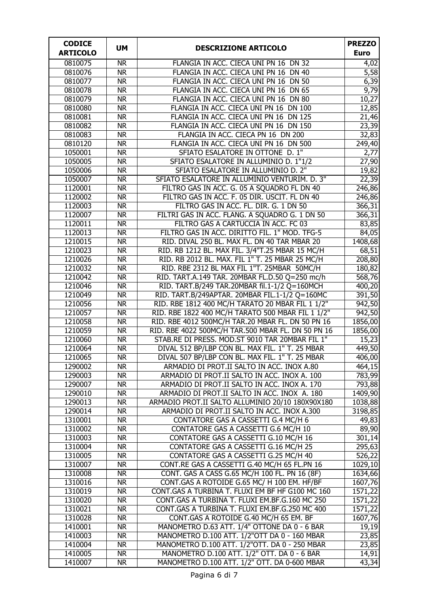| <b>CODICE</b><br><b>ARTICOLO</b> | <b>UM</b>                | <b>DESCRIZIONE ARTICOLO</b>                                                           | <b>PREZZO</b><br><b>Euro</b> |
|----------------------------------|--------------------------|---------------------------------------------------------------------------------------|------------------------------|
| 0810075                          | <b>NR</b>                | FLANGIA IN ACC. CIECA UNI PN 16 DN 32                                                 | 4,02                         |
| 0810076                          | <b>NR</b>                | FLANGIA IN ACC. CIECA UNI PN 16 DN 40                                                 | 5,58                         |
| 0810077                          | <b>NR</b>                | FLANGIA IN ACC. CIECA UNI PN 16 DN 50                                                 | 6,39                         |
| 0810078                          | <b>NR</b>                | FLANGIA IN ACC. CIECA UNI PN 16 DN 65                                                 | 9,79                         |
| 0810079                          | <b>NR</b>                | FLANGIA IN ACC. CIECA UNI PN 16 DN 80                                                 | 10,27                        |
| 0810080                          | <b>NR</b>                | FLANGIA IN ACC. CIECA UNI PN 16 DN 100                                                | 12,85                        |
| 0810081                          | <b>NR</b>                | FLANGIA IN ACC. CIECA UNI PN 16 DN 125                                                | $\overline{21,46}$           |
| 0810082                          | <b>NR</b>                | FLANGIA IN ACC. CIECA UNI PN 16 DN 150                                                | 23,39                        |
| 0810083                          | <b>NR</b>                | FLANGIA IN ACC. CIECA PN 16 DN 200                                                    | 32,83                        |
| 0810120                          | <b>NR</b>                | FLANGIA IN ACC. CIECA UNI PN 16 DN 500                                                | 249,40                       |
| 1050001                          | <b>NR</b>                | SFIATO ESALATORE IN OTTONE D. 1"                                                      | 2,77                         |
| 1050005                          | <b>NR</b>                | SFIATO ESALATORE IN ALLUMINIO D. 1"1/2                                                | 27,90                        |
| 1050006                          | <b>NR</b>                | SFIATO ESALATORE IN ALLUMINIO D. 2"                                                   | 19,82                        |
| 1050007                          | <b>NR</b>                | SFIATO ESALATORE IN ALLUMINIO VENTURIM. D. 3"                                         | 22,39                        |
| 1120001                          | <b>NR</b>                | FILTRO GAS IN ACC. G. 05 A SQUADRO FL DN 40                                           | 246,86                       |
| 1120002                          | <b>NR</b>                | FILTRO GAS IN ACC. F. 05 DIR. USCIT. FL DN 40                                         | 246,86                       |
| 1120003                          | <b>NR</b>                | FILTRO GAS IN ACC. FL. DIR. G. 1 DN 50                                                | $\overline{366,31}$          |
| 1120007                          | <b>NR</b>                | FILTRI GAS IN ACC. FLANG. A SQUADRO G. 1 DN 50                                        | 366,31                       |
| 1120011                          | <b>NR</b>                | FILTRO GAS A CARTUCCIA IN ACC. FC 03                                                  | 83,85                        |
| 1120013                          | <b>NR</b>                | FILTRO GAS IN ACC. DIRITTO FIL. 1" MOD. TFG-5                                         | 84,05                        |
| 1210015                          | <b>NR</b>                | RID. DIVAL 250 BL. MAX FL. DN 40 TAR MBAR 20                                          | 1408,68                      |
| 1210023                          | <b>NR</b>                | RID. RB 1212 BL. MAX FIL. 3/4"T.25 MBAR 15 MC/H                                       | 68,51                        |
| 1210026                          | <b>NR</b>                | RID. RB 2012 BL. MAX. FIL 1" T. 25 MBAR 25 MC/H                                       | 208,80                       |
| 1210032                          | <b>NR</b>                | RID. RBE 2312 BL MAX FIL 1"T. 25MBAR 50MC/H                                           | 180,82                       |
| 1210042                          | $\overline{\mathsf{NR}}$ | RID. TART.A.149 TAR. 20MBAR FL.D.50 Q=250 mc/h                                        | 568,76                       |
| 1210046                          | <b>NR</b>                | RID. TART.B/249 TAR.20MBAR fil.1-1/2 Q=160MCH                                         | 400,20                       |
| 1210049                          | <b>NR</b>                | RID. TART.B/249APTAR. 20MBAR FIL.1-1/2 Q=160MC                                        | 391,50                       |
| 1210056                          | <b>NR</b>                | RID. RBE 1812 400 MC/H TARATO 20 MBAR FIL 1 1/2"                                      | 942,50                       |
| 1210057                          | <b>NR</b>                | RID. RBE 1822 400 MC/H TARATO 500 MBAR FIL 1 1/2"                                     | 942,50                       |
| 1210058                          | <b>NR</b>                | RID. RBE 4012 500MC/H TAR.20 MBAR FL. DN 50 PN 16                                     | 1856,00                      |
| 1210059                          | <b>NR</b>                | RID. RBE 4022 500MC/H TAR.500 MBAR FL. DN 50 PN 16                                    | 1856,00                      |
| 1210060                          | <b>NR</b>                | STAB.RE DI PRESS. MOD.ST 9010 TAR 20MBAR FIL 1"                                       | 15,23                        |
| 1210064                          | <b>NR</b>                | DIVAL 512 BP/LBP CON BL. MAX FIL. 1" T. 25 MBAR                                       | 449,50                       |
| 1210065                          | <b>NR</b>                | DIVAL 507 BP/LBP CON BL. MAX FIL. 1" T. 25 MBAR                                       | 406,00                       |
| 1290002                          | <b>NR</b>                | ARMADIO DI PROT.II SALTO IN ACC. INOX A.80                                            | 464,15                       |
| 1290003                          | <b>NR</b>                | ARMADIO DI PROT.II SALTO IN ACC. INOX A. 100                                          | 783,99                       |
| 1290007                          | <b>NR</b>                | ARMADIO DI PROT.II SALTO IN ACC. INOX A. 170                                          | 793,88                       |
| 1290010                          | <b>NR</b>                | ARMADIO DI PROT.II SALTO IN ACC. INOX A. 180                                          | 1409,90                      |
| 1290013                          | <b>NR</b>                | ARMADIO PROT.II SALTO ALLUMINIO 20/10 180X90X180                                      | 1038,88                      |
| 1290014                          | <b>NR</b>                | ARMADIO DI PROT.II SALTO IN ACC. INOX A.300                                           | 3198,85                      |
| 1310001                          | <b>NR</b>                | CONTATORE GAS A CASSETTI G.4 MC/H 6                                                   | 49,83                        |
| 1310002                          | <b>NR</b>                | CONTATORE GAS A CASSETTI G.6 MC/H 10                                                  | $\overline{89,90}$           |
| 1310003                          | <b>NR</b>                | CONTATORE GAS A CASSETTI G.10 MC/H 16                                                 | 301,14                       |
| 1310004                          | <b>NR</b>                | CONTATORE GAS A CASSETTI G.16 MC/H 25                                                 | 295,63                       |
| 1310005                          | <b>NR</b><br><b>NR</b>   | CONTATORE GAS A CASSETTI G.25 MC/H 40<br>CONT.RE GAS A CASSETTI G.40 MC/H 65 FL.PN 16 | 526,22                       |
| 1310007<br>1310008               | <b>NR</b>                | CONT. GAS A CASS G.65 MC/H 100 FL. PN 16 (8F)                                         | 1029,10<br>1634,66           |
| 1310016                          | <b>NR</b>                | CONT.GAS A ROTOIDE G.65 MC/ H 100 EM. HF/BF                                           | 1607,76                      |
| 1310019                          | <b>NR</b>                | CONT.GAS A TURBINA T. FLUXI EM BF HF G100 MC 160                                      | 1571,22                      |
| 1310020                          | <b>NR</b>                | CONT.GAS A TURBINA T. FLUXI EM.BF.G.160 MC 250                                        | 1571,22                      |
| 1310021                          | <b>NR</b>                | CONT.GAS A TURBINA T. FLUXI EM.BF.G.250 MC 400                                        | 1571,22                      |
| 1310028                          | <b>NR</b>                | CONT.GAS A ROTOIDE G.40 MC/H 65 EM. BF                                                | 1607,76                      |
| 1410001                          | <b>NR</b>                | MANOMETRO D.63 ATT. 1/4" OTTONE DA 0 - 6 BAR                                          | 19,19                        |
| 1410003                          | <b>NR</b>                | MANOMETRO D.100 ATT. 1/2"OTT DA 0 - 160 MBAR                                          | 23,85                        |
| 1410004                          | <b>NR</b>                | MANOMETRO D.100 ATT. 1/2"OTT. DA 0 - 250 MBAR                                         | 23,85                        |
| 1410005                          | <b>NR</b>                | MANOMETRO D.100 ATT. 1/2" OTT. DA 0 - 6 BAR                                           | 14,91                        |
| 1410007                          | <b>NR</b>                | MANOMETRO D.100 ATT. 1/2" OTT. DA 0-600 MBAR                                          | 43,34                        |